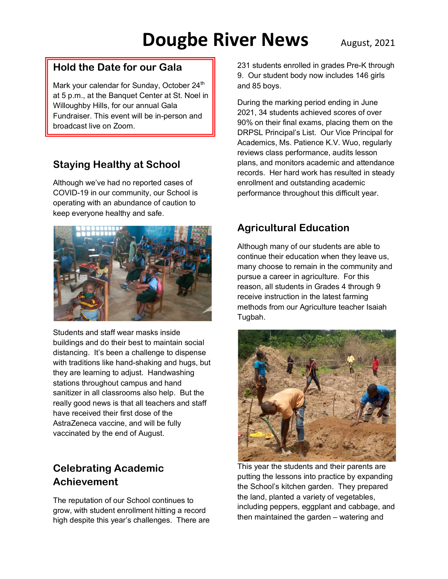# **Dougbe River News** August, 2021

#### **Hold the Date for our Gala**

Mark your calendar for Sunday, October 24<sup>th</sup> at 5 p.m., at the Banquet Center at St. Noel in Willoughby Hills, for our annual Gala Fundraiser. This event will be in-person and broadcast live on Zoom.

## **Staying Healthy at School**

Although we've had no reported cases of COVID-19 in our community, our School is operating with an abundance of caution to keep everyone healthy and safe.



Students and staff wear masks inside buildings and do their best to maintain social distancing. It's been a challenge to dispense with traditions like hand-shaking and hugs, but they are learning to adjust. Handwashing stations throughout campus and hand sanitizer in all classrooms also help. But the really good news is that all teachers and staff have received their first dose of the AstraZeneca vaccine, and will be fully vaccinated by the end of August.

### **Celebrating Academic Achievement**

The reputation of our School continues to grow, with student enrollment hitting a record high despite this year's challenges. There are 231 students enrolled in grades Pre-K through 9. Our student body now includes 146 girls and 85 boys.

During the marking period ending in June 2021, 34 students achieved scores of over 90% on their final exams, placing them on the DRPSL Principal's List. Our Vice Principal for Academics, Ms. Patience K.V. Wuo, regularly reviews class performance, audits lesson plans, and monitors academic and attendance records. Her hard work has resulted in steady enrollment and outstanding academic performance throughout this difficult year.

## **Agricultural Education**

Although many of our students are able to continue their education when they leave us, many choose to remain in the community and pursue a career in agriculture. For this reason, all students in Grades 4 through 9 receive instruction in the latest farming methods from our Agriculture teacher Isaiah Tugbah.



This year the students and their parents are putting the lessons into practice by expanding the School's kitchen garden. They prepared the land, planted a variety of vegetables, including peppers, eggplant and cabbage, and then maintained the garden – watering and